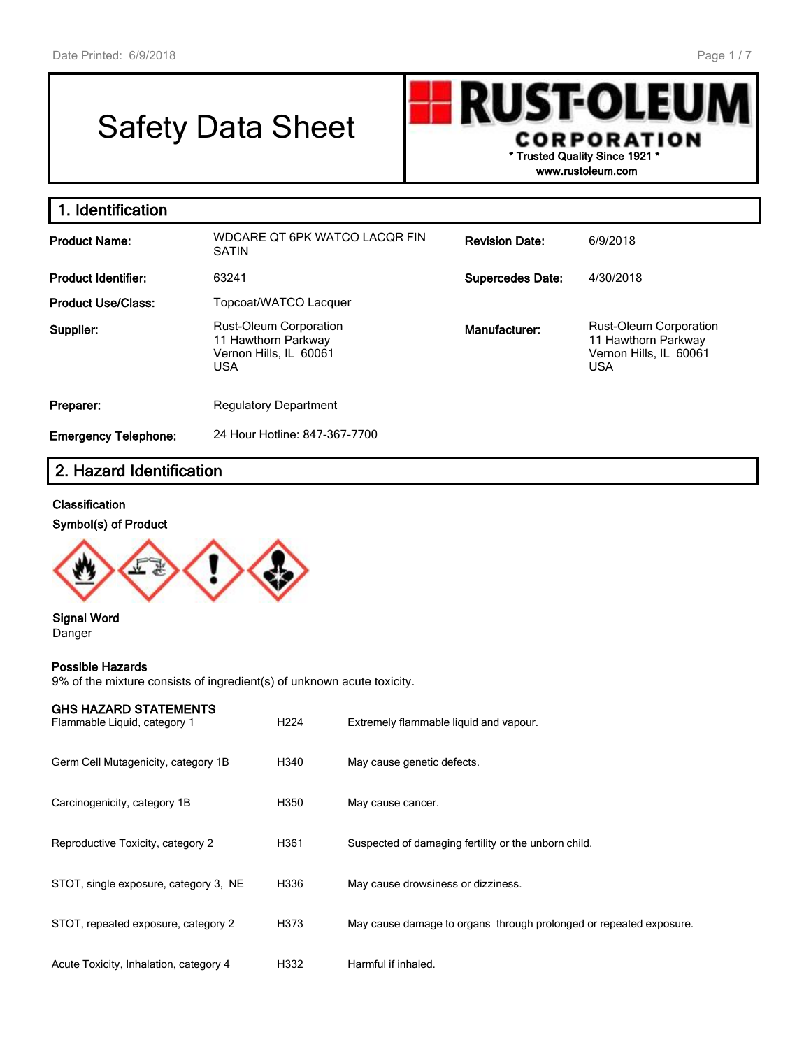# Safety Data Sheet



**www.rustoleum.com**

| 1. Identification           |                                                                                              |                         |                                                                                              |
|-----------------------------|----------------------------------------------------------------------------------------------|-------------------------|----------------------------------------------------------------------------------------------|
| <b>Product Name:</b>        | WDCARE QT 6PK WATCO LACQR FIN<br><b>SATIN</b>                                                | <b>Revision Date:</b>   | 6/9/2018                                                                                     |
| <b>Product Identifier:</b>  | 63241                                                                                        | <b>Supercedes Date:</b> | 4/30/2018                                                                                    |
| <b>Product Use/Class:</b>   | Topcoat/WATCO Lacquer                                                                        |                         |                                                                                              |
| Supplier:                   | <b>Rust-Oleum Corporation</b><br>11 Hawthorn Parkway<br>Vernon Hills, IL 60061<br><b>USA</b> | Manufacturer:           | <b>Rust-Oleum Corporation</b><br>11 Hawthorn Parkway<br>Vernon Hills, IL 60061<br><b>USA</b> |
| Preparer:                   | <b>Regulatory Department</b>                                                                 |                         |                                                                                              |
| <b>Emergency Telephone:</b> | 24 Hour Hotline: 847-367-7700                                                                |                         |                                                                                              |

## **2. Hazard Identification**

#### **Classification**

#### **Symbol(s) of Product**



#### **Signal Word** Danger

#### **Possible Hazards**

9% of the mixture consists of ingredient(s) of unknown acute toxicity.

| <b>GHS HAZARD STATEMENTS</b><br>Flammable Liquid, category 1 | H <sub>224</sub> | Extremely flammable liquid and vapour.                             |
|--------------------------------------------------------------|------------------|--------------------------------------------------------------------|
| Germ Cell Mutagenicity, category 1B                          | H340             | May cause genetic defects.                                         |
| Carcinogenicity, category 1B                                 | H350             | May cause cancer.                                                  |
| Reproductive Toxicity, category 2                            | H361             | Suspected of damaging fertility or the unborn child.               |
| STOT, single exposure, category 3, NE                        | H336             | May cause drowsiness or dizziness.                                 |
| STOT, repeated exposure, category 2                          | H373             | May cause damage to organs through prolonged or repeated exposure. |
| Acute Toxicity, Inhalation, category 4                       | H332             | Harmful if inhaled.                                                |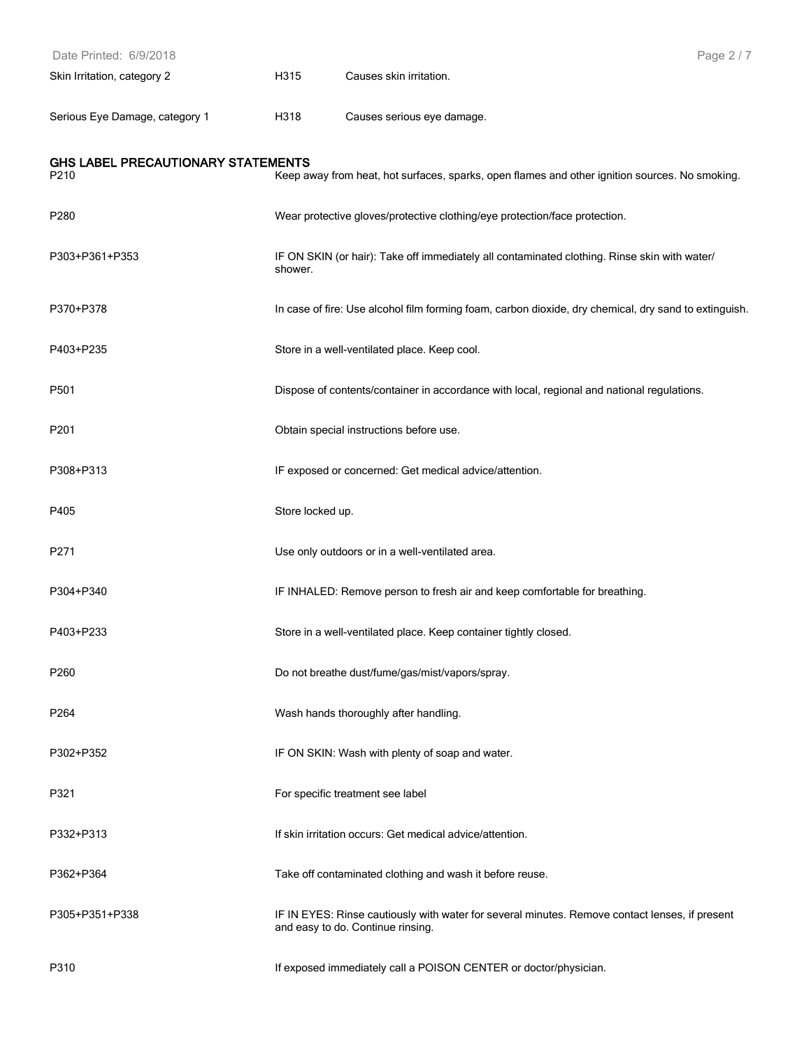| Date Printed: 6/9/2018                     |                  |                                                                                                                                     | Page 2/7 |
|--------------------------------------------|------------------|-------------------------------------------------------------------------------------------------------------------------------------|----------|
| Skin Irritation, category 2                | H315             | Causes skin irritation.                                                                                                             |          |
| Serious Eye Damage, category 1             | H318             | Causes serious eye damage.                                                                                                          |          |
| GHS LABEL PRECAUTIONARY STATEMENTS<br>P210 |                  | Keep away from heat, hot surfaces, sparks, open flames and other ignition sources. No smoking.                                      |          |
| P280                                       |                  | Wear protective gloves/protective clothing/eye protection/face protection.                                                          |          |
| P303+P361+P353                             | shower.          | IF ON SKIN (or hair): Take off immediately all contaminated clothing. Rinse skin with water/                                        |          |
| P370+P378                                  |                  | In case of fire: Use alcohol film forming foam, carbon dioxide, dry chemical, dry sand to extinguish.                               |          |
| P403+P235                                  |                  | Store in a well-ventilated place. Keep cool.                                                                                        |          |
| P501                                       |                  | Dispose of contents/container in accordance with local, regional and national regulations.                                          |          |
| P201                                       |                  | Obtain special instructions before use.                                                                                             |          |
| P308+P313                                  |                  | IF exposed or concerned: Get medical advice/attention.                                                                              |          |
| P405                                       | Store locked up. |                                                                                                                                     |          |
| P271                                       |                  | Use only outdoors or in a well-ventilated area.                                                                                     |          |
| P304+P340                                  |                  | IF INHALED: Remove person to fresh air and keep comfortable for breathing.                                                          |          |
| P403+P233                                  |                  | Store in a well-ventilated place. Keep container tightly closed.                                                                    |          |
| P260                                       |                  | Do not breathe dust/fume/gas/mist/vapors/spray.                                                                                     |          |
| P264                                       |                  | Wash hands thoroughly after handling.                                                                                               |          |
| P302+P352                                  |                  | IF ON SKIN: Wash with plenty of soap and water.                                                                                     |          |
| P321                                       |                  | For specific treatment see label                                                                                                    |          |
| P332+P313                                  |                  | If skin irritation occurs: Get medical advice/attention.                                                                            |          |
| P362+P364                                  |                  | Take off contaminated clothing and wash it before reuse.                                                                            |          |
| P305+P351+P338                             |                  | IF IN EYES: Rinse cautiously with water for several minutes. Remove contact lenses, if present<br>and easy to do. Continue rinsing. |          |
| P310                                       |                  | If exposed immediately call a POISON CENTER or doctor/physician.                                                                    |          |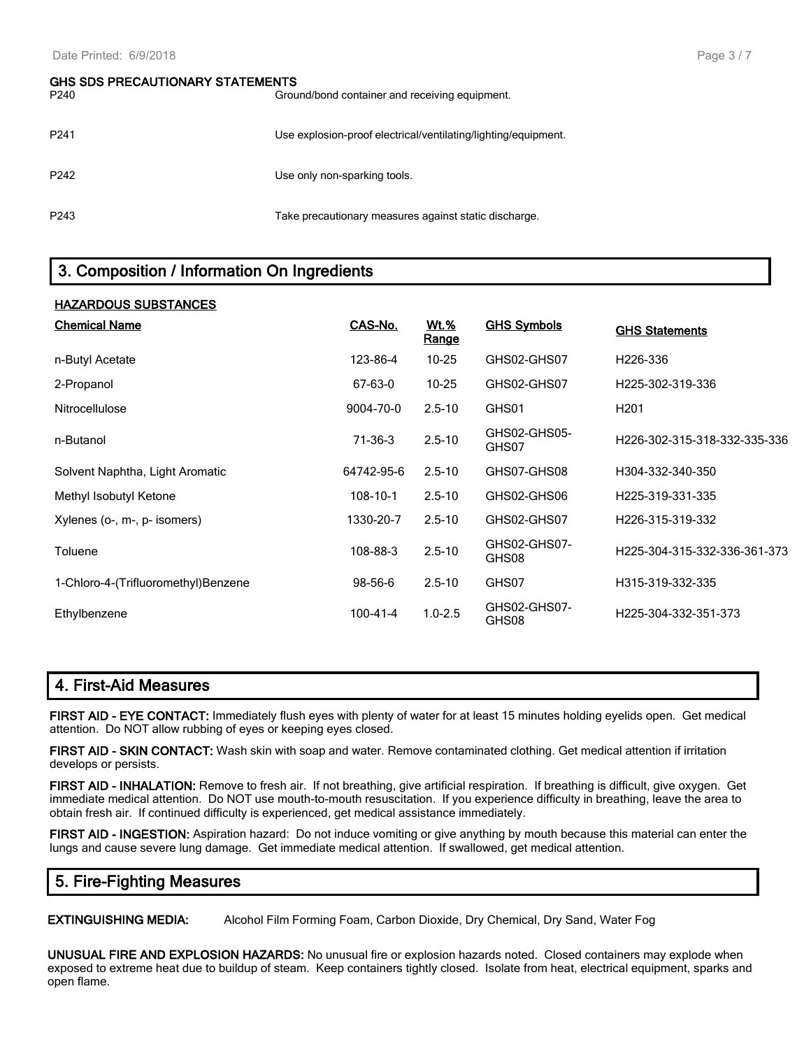## **GHS SDS PRECAUTIONARY STATEMENTS** P240 Ground/bond container and receiving equipment. P241 Use explosion-proof electrical/ventilating/lighting/equipment. P242 P242 P243 Take precautionary measures against static discharge.

## **3. Composition / Information On Ingredients**

| <b>HAZARDOUS SUBSTANCES</b>         |                |                      |                       |                              |
|-------------------------------------|----------------|----------------------|-----------------------|------------------------------|
| <b>Chemical Name</b>                | CAS-No.        | <u>Wt.%</u><br>Range | <b>GHS Symbols</b>    | <b>GHS Statements</b>        |
| n-Butyl Acetate                     | 123-86-4       | $10 - 25$            | GHS02-GHS07           | H <sub>226</sub> -336        |
| 2-Propanol                          | 67-63-0        | $10 - 25$            | GHS02-GHS07           | H225-302-319-336             |
| Nitrocellulose                      | 9004-70-0      | $2.5 - 10$           | GHS01                 | H <sub>201</sub>             |
| n-Butanol                           | 71-36-3        | $2.5 - 10$           | GHS02-GHS05-<br>GHS07 | H226-302-315-318-332-335-336 |
| Solvent Naphtha, Light Aromatic     | 64742-95-6     | $2.5 - 10$           | GHS07-GHS08           | H304-332-340-350             |
| Methyl Isobutyl Ketone              | $108 - 10 - 1$ | $2.5 - 10$           | GHS02-GHS06           | H225-319-331-335             |
| Xylenes (o-, m-, p- isomers)        | 1330-20-7      | $2.5 - 10$           | GHS02-GHS07           | H226-315-319-332             |
| Toluene                             | 108-88-3       | $2.5 - 10$           | GHS02-GHS07-<br>GHS08 | H225-304-315-332-336-361-373 |
| 1-Chloro-4-(Trifluoromethyl)Benzene | 98-56-6        | $2.5 - 10$           | GHS07                 | H315-319-332-335             |
| Ethylbenzene                        | 100-41-4       | $1.0 - 2.5$          | GHS02-GHS07-<br>GHS08 | H225-304-332-351-373         |

#### **4. First-Aid Measures**

**FIRST AID - EYE CONTACT:** Immediately flush eyes with plenty of water for at least 15 minutes holding eyelids open. Get medical attention. Do NOT allow rubbing of eyes or keeping eyes closed.

**FIRST AID - SKIN CONTACT:** Wash skin with soap and water. Remove contaminated clothing. Get medical attention if irritation develops or persists.

**FIRST AID - INHALATION:** Remove to fresh air. If not breathing, give artificial respiration. If breathing is difficult, give oxygen. Get immediate medical attention. Do NOT use mouth-to-mouth resuscitation. If you experience difficulty in breathing, leave the area to obtain fresh air. If continued difficulty is experienced, get medical assistance immediately.

**FIRST AID - INGESTION:** Aspiration hazard: Do not induce vomiting or give anything by mouth because this material can enter the lungs and cause severe lung damage. Get immediate medical attention. If swallowed, get medical attention.

#### **5. Fire-Fighting Measures**

**EXTINGUISHING MEDIA:** Alcohol Film Forming Foam, Carbon Dioxide, Dry Chemical, Dry Sand, Water Fog

**UNUSUAL FIRE AND EXPLOSION HAZARDS:** No unusual fire or explosion hazards noted. Closed containers may explode when exposed to extreme heat due to buildup of steam. Keep containers tightly closed. Isolate from heat, electrical equipment, sparks and open flame.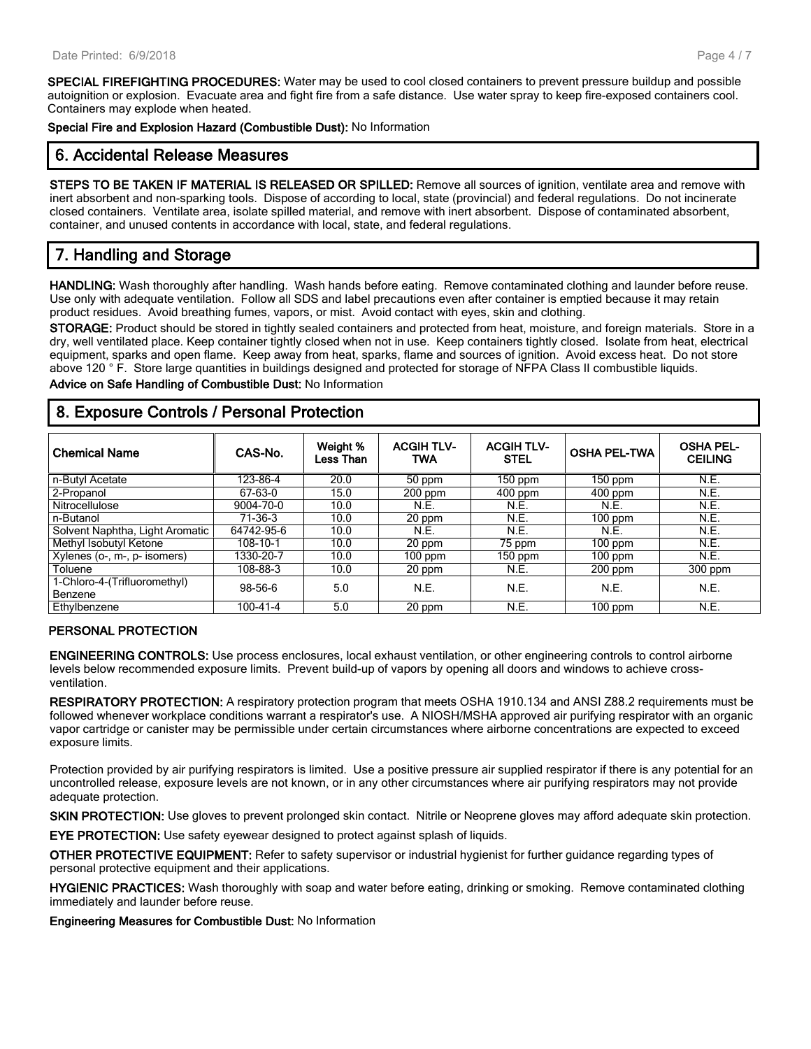**SPECIAL FIREFIGHTING PROCEDURES:** Water may be used to cool closed containers to prevent pressure buildup and possible autoignition or explosion. Evacuate area and fight fire from a safe distance. Use water spray to keep fire-exposed containers cool. Containers may explode when heated.

**Special Fire and Explosion Hazard (Combustible Dust):** No Information

### **6. Accidental Release Measures**

**STEPS TO BE TAKEN IF MATERIAL IS RELEASED OR SPILLED:** Remove all sources of ignition, ventilate area and remove with inert absorbent and non-sparking tools. Dispose of according to local, state (provincial) and federal regulations. Do not incinerate closed containers. Ventilate area, isolate spilled material, and remove with inert absorbent. Dispose of contaminated absorbent, container, and unused contents in accordance with local, state, and federal regulations.

## **7. Handling and Storage**

**HANDLING:** Wash thoroughly after handling. Wash hands before eating. Remove contaminated clothing and launder before reuse. Use only with adequate ventilation. Follow all SDS and label precautions even after container is emptied because it may retain product residues. Avoid breathing fumes, vapors, or mist. Avoid contact with eyes, skin and clothing.

**STORAGE:** Product should be stored in tightly sealed containers and protected from heat, moisture, and foreign materials. Store in a dry, well ventilated place. Keep container tightly closed when not in use. Keep containers tightly closed. Isolate from heat, electrical equipment, sparks and open flame. Keep away from heat, sparks, flame and sources of ignition. Avoid excess heat. Do not store above 120 ° F. Store large quantities in buildings designed and protected for storage of NFPA Class II combustible liquids.

**Advice on Safe Handling of Combustible Dust:** No Information

## **8. Exposure Controls / Personal Protection**

| <b>Chemical Name</b>            | CAS-No.    | Weight %<br>Less Than | <b>ACGIH TLV-</b><br>TWA | <b>ACGIH TLV-</b><br><b>STEL</b> | <b>OSHA PEL-TWA</b>  | <b>OSHA PEL-</b><br><b>CEILING</b> |
|---------------------------------|------------|-----------------------|--------------------------|----------------------------------|----------------------|------------------------------------|
| n-Butyl Acetate                 | 123-86-4   | 20.0                  | 50 ppm                   | $150$ ppm                        | $\overline{1}50$ ppm | N.E.                               |
| 2-Propanol                      | 67-63-0    | 15.0                  | $200$ ppm                | $400$ ppm                        | $400$ ppm            | N.E.                               |
| Nitrocellulose                  | 9004-70-0  | 10.0                  | N.E.                     | N.E.                             | N.E.                 | N.E.                               |
| n-Butanol                       | $71-36-3$  | 10.0                  | 20 ppm                   | N.E.                             | $100$ ppm            | N.E.                               |
| Solvent Naphtha, Light Aromatic | 64742-95-6 | 10.0                  | N.E.                     | N.E.                             | N.E.                 | N.E.                               |
| Methyl Isobutyl Ketone          | 108-10-1   | 10.0                  | 20 ppm                   | 75 ppm                           | $100$ ppm            | N.E.                               |
| Xylenes (o-, m-, p- isomers)    | 1330-20-7  | 10.0                  | $100$ ppm                | 150 ppm                          | $100$ ppm            | N.E.                               |
| Toluene                         | 108-88-3   | 10.0                  | 20 ppm                   | N.E.                             | $200$ ppm            | $300$ ppm                          |
| 1-Chloro-4-(Trifluoromethyl)    | 98-56-6    | 5.0                   | N.E.                     | N.E.                             | N.E.                 | N.E.                               |
| Benzene                         |            |                       |                          |                                  |                      |                                    |
| Ethylbenzene                    | 100-41-4   | 5.0                   | 20 ppm                   | N.E.                             | $100$ ppm            | N.E.                               |

#### **PERSONAL PROTECTION**

**ENGINEERING CONTROLS:** Use process enclosures, local exhaust ventilation, or other engineering controls to control airborne levels below recommended exposure limits. Prevent build-up of vapors by opening all doors and windows to achieve crossventilation.

**RESPIRATORY PROTECTION:** A respiratory protection program that meets OSHA 1910.134 and ANSI Z88.2 requirements must be followed whenever workplace conditions warrant a respirator's use. A NIOSH/MSHA approved air purifying respirator with an organic vapor cartridge or canister may be permissible under certain circumstances where airborne concentrations are expected to exceed exposure limits.

Protection provided by air purifying respirators is limited. Use a positive pressure air supplied respirator if there is any potential for an uncontrolled release, exposure levels are not known, or in any other circumstances where air purifying respirators may not provide adequate protection.

**SKIN PROTECTION:** Use gloves to prevent prolonged skin contact. Nitrile or Neoprene gloves may afford adequate skin protection.

**EYE PROTECTION:** Use safety eyewear designed to protect against splash of liquids.

**OTHER PROTECTIVE EQUIPMENT:** Refer to safety supervisor or industrial hygienist for further guidance regarding types of personal protective equipment and their applications.

**HYGIENIC PRACTICES:** Wash thoroughly with soap and water before eating, drinking or smoking. Remove contaminated clothing immediately and launder before reuse.

**Engineering Measures for Combustible Dust:** No Information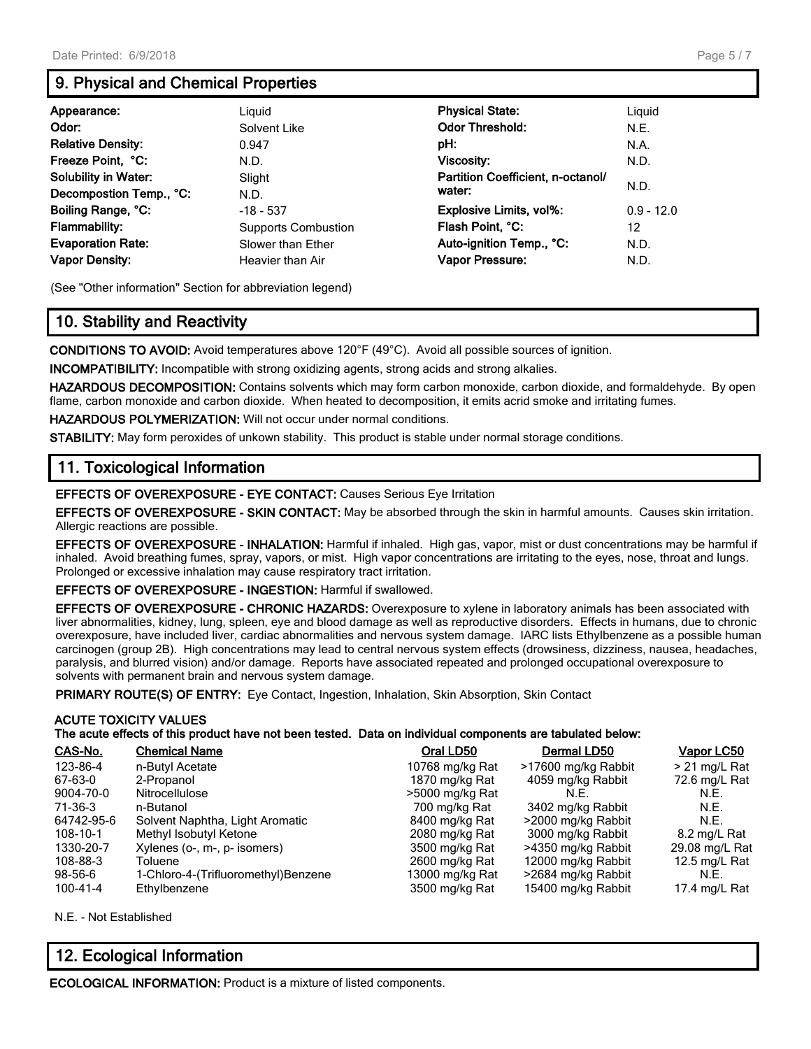## **9. Physical and Chemical Properties**

| Appearance:                 | Liguid                     | <b>Physical State:</b>            | Liguid       |
|-----------------------------|----------------------------|-----------------------------------|--------------|
| Odor:                       | Solvent Like               | <b>Odor Threshold:</b>            | N.E.         |
| <b>Relative Density:</b>    | 0.947                      | pH:                               | N.A.         |
| Freeze Point, °C:           | N.D.                       | <b>Viscosity:</b>                 | N.D.         |
| <b>Solubility in Water:</b> | Slight                     | Partition Coefficient, n-octanol/ | N.D.         |
| Decompostion Temp., °C:     | N.D.                       | water:                            |              |
| Boiling Range, °C:          | $-18 - 537$                | <b>Explosive Limits, vol%:</b>    | $0.9 - 12.0$ |
| <b>Flammability:</b>        | <b>Supports Combustion</b> | Flash Point, °C:                  | 12           |
| <b>Evaporation Rate:</b>    | Slower than Ether          | Auto-ignition Temp., °C:          | N.D.         |
| <b>Vapor Density:</b>       | Heavier than Air           | <b>Vapor Pressure:</b>            | N.D.         |

(See "Other information" Section for abbreviation legend)

## **10. Stability and Reactivity**

**CONDITIONS TO AVOID:** Avoid temperatures above 120°F (49°C). Avoid all possible sources of ignition.

**INCOMPATIBILITY:** Incompatible with strong oxidizing agents, strong acids and strong alkalies.

**HAZARDOUS DECOMPOSITION:** Contains solvents which may form carbon monoxide, carbon dioxide, and formaldehyde. By open flame, carbon monoxide and carbon dioxide. When heated to decomposition, it emits acrid smoke and irritating fumes.

**HAZARDOUS POLYMERIZATION:** Will not occur under normal conditions.

**STABILITY:** May form peroxides of unkown stability. This product is stable under normal storage conditions.

### **11. Toxicological Information**

**EFFECTS OF OVEREXPOSURE - EYE CONTACT:** Causes Serious Eye Irritation

**EFFECTS OF OVEREXPOSURE - SKIN CONTACT:** May be absorbed through the skin in harmful amounts. Causes skin irritation. Allergic reactions are possible.

**EFFECTS OF OVEREXPOSURE - INHALATION:** Harmful if inhaled. High gas, vapor, mist or dust concentrations may be harmful if inhaled. Avoid breathing fumes, spray, vapors, or mist. High vapor concentrations are irritating to the eyes, nose, throat and lungs. Prolonged or excessive inhalation may cause respiratory tract irritation.

**EFFECTS OF OVEREXPOSURE - INGESTION:** Harmful if swallowed.

**EFFECTS OF OVEREXPOSURE - CHRONIC HAZARDS:** Overexposure to xylene in laboratory animals has been associated with liver abnormalities, kidney, lung, spleen, eye and blood damage as well as reproductive disorders. Effects in humans, due to chronic overexposure, have included liver, cardiac abnormalities and nervous system damage. IARC lists Ethylbenzene as a possible human carcinogen (group 2B). High concentrations may lead to central nervous system effects (drowsiness, dizziness, nausea, headaches, paralysis, and blurred vision) and/or damage. Reports have associated repeated and prolonged occupational overexposure to solvents with permanent brain and nervous system damage.

**PRIMARY ROUTE(S) OF ENTRY:** Eye Contact, Ingestion, Inhalation, Skin Absorption, Skin Contact

#### **ACUTE TOXICITY VALUES**

**The acute effects of this product have not been tested. Data on individual components are tabulated below:**

| CAS-No.    | <b>Chemical Name</b>                | Oral LD50       | Dermal LD50         | Vapor LC50      |
|------------|-------------------------------------|-----------------|---------------------|-----------------|
| 123-86-4   | n-Butyl Acetate                     | 10768 mg/kg Rat | >17600 mg/kg Rabbit | $> 21$ mg/L Rat |
| 67-63-0    | 2-Propanol                          | 1870 mg/kg Rat  | 4059 mg/kg Rabbit   | 72.6 mg/L Rat   |
| 9004-70-0  | Nitrocellulose                      | >5000 mg/kg Rat | N.F.                | N.E.            |
| 71-36-3    | n-Butanol                           | 700 mg/kg Rat   | 3402 mg/kg Rabbit   | N.E.            |
| 64742-95-6 | Solvent Naphtha, Light Aromatic     | 8400 mg/kg Rat  | >2000 mg/kg Rabbit  | N.E.            |
| 108-10-1   | Methyl Isobutyl Ketone              | 2080 mg/kg Rat  | 3000 mg/kg Rabbit   | 8.2 mg/L Rat    |
| 1330-20-7  | Xylenes (o-, m-, p- isomers)        | 3500 mg/kg Rat  | >4350 mg/kg Rabbit  | 29.08 mg/L Rat  |
| 108-88-3   | Toluene                             | 2600 mg/kg Rat  | 12000 mg/kg Rabbit  | 12.5 mg/L Rat   |
| 98-56-6    | 1-Chloro-4-(Trifluoromethyl)Benzene | 13000 mg/kg Rat | >2684 mg/kg Rabbit  | N.E.            |
| 100-41-4   | Ethylbenzene                        | 3500 mg/kg Rat  | 15400 mg/kg Rabbit  | 17.4 mg/L Rat   |

N.E. - Not Established

## **12. Ecological Information**

**ECOLOGICAL INFORMATION:** Product is a mixture of listed components.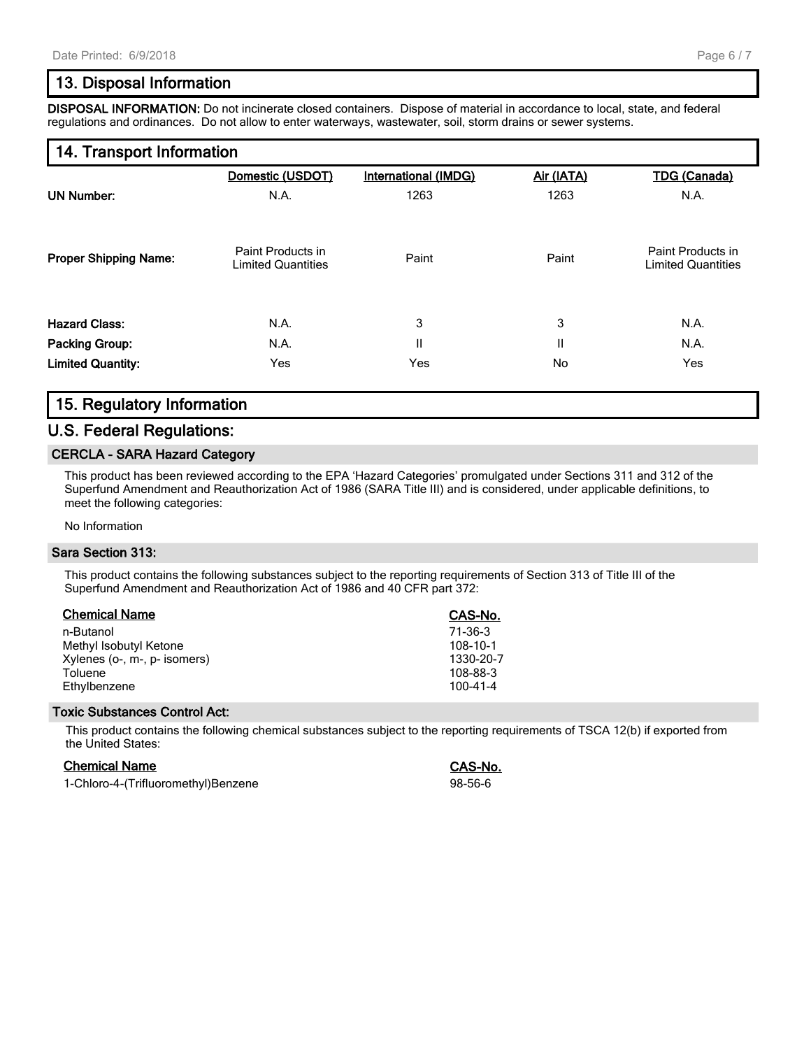## **13. Disposal Information**

**DISPOSAL INFORMATION:** Do not incinerate closed containers. Dispose of material in accordance to local, state, and federal regulations and ordinances. Do not allow to enter waterways, wastewater, soil, storm drains or sewer systems.

### **14. Transport Information**

|                              | Domestic (USDOT)                               | <b>International (IMDG)</b> | Air (IATA) | <b>TDG (Canada)</b>                            |
|------------------------------|------------------------------------------------|-----------------------------|------------|------------------------------------------------|
| <b>UN Number:</b>            | N.A.                                           | 1263                        | 1263       | N.A.                                           |
| <b>Proper Shipping Name:</b> | Paint Products in<br><b>Limited Quantities</b> | Paint                       | Paint      | Paint Products in<br><b>Limited Quantities</b> |
| <b>Hazard Class:</b>         | N.A.                                           | 3                           | 3          | N.A.                                           |
| <b>Packing Group:</b>        | N.A.                                           | $\mathbf{I}$                | Ш          | N.A.                                           |
| <b>Limited Quantity:</b>     | Yes                                            | Yes                         | No         | Yes                                            |
|                              |                                                |                             |            |                                                |

## **15. Regulatory Information**

#### **U.S. Federal Regulations:**

#### **CERCLA - SARA Hazard Category**

This product has been reviewed according to the EPA 'Hazard Categories' promulgated under Sections 311 and 312 of the Superfund Amendment and Reauthorization Act of 1986 (SARA Title III) and is considered, under applicable definitions, to meet the following categories:

#### No Information

#### **Sara Section 313:**

This product contains the following substances subject to the reporting requirements of Section 313 of Title III of the Superfund Amendment and Reauthorization Act of 1986 and 40 CFR part 372:

| <b>Chemical Name</b>         | CAS-No.        |
|------------------------------|----------------|
| n-Butanol                    | 71-36-3        |
| Methyl Isobutyl Ketone       | 108-10-1       |
| Xylenes (o-, m-, p- isomers) | 1330-20-7      |
| Toluene                      | 108-88-3       |
| Ethylbenzene                 | $100 - 41 - 4$ |

#### **Toxic Substances Control Act:**

This product contains the following chemical substances subject to the reporting requirements of TSCA 12(b) if exported from the United States:

#### **Chemical Name CAS-No.**

1-Chloro-4-(Trifluoromethyl)Benzene 98-56-6